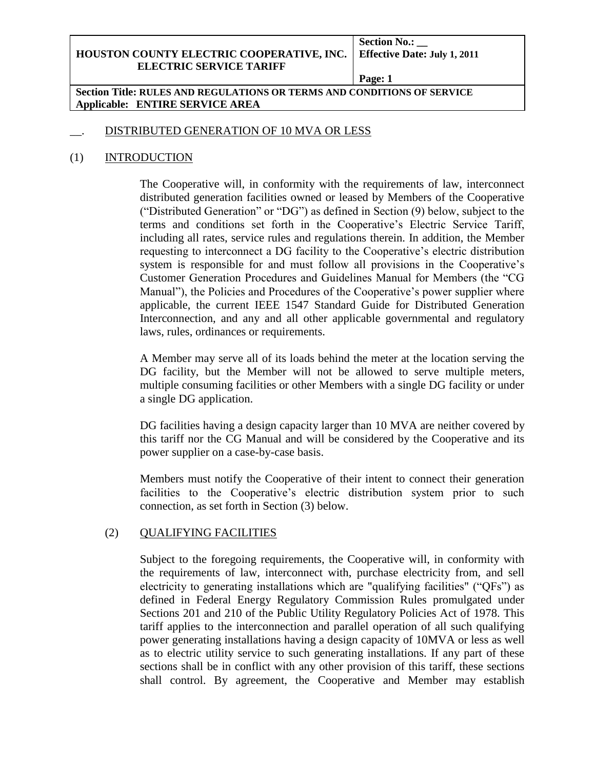**Section No.: \_\_**

**Page: 1**

**Section Title: RULES AND REGULATIONS OR TERMS AND CONDITIONS OF SERVICE Applicable: ENTIRE SERVICE AREA**

## DISTRIBUTED GENERATION OF 10 MVA OR LESS

## (1) INTRODUCTION

The Cooperative will, in conformity with the requirements of law, interconnect distributed generation facilities owned or leased by Members of the Cooperative ("Distributed Generation" or "DG") as defined in Section (9) below, subject to the terms and conditions set forth in the Cooperative's Electric Service Tariff, including all rates, service rules and regulations therein. In addition, the Member requesting to interconnect a DG facility to the Cooperative's electric distribution system is responsible for and must follow all provisions in the Cooperative's Customer Generation Procedures and Guidelines Manual for Members (the "CG Manual"), the Policies and Procedures of the Cooperative's power supplier where applicable, the current IEEE 1547 Standard Guide for Distributed Generation Interconnection, and any and all other applicable governmental and regulatory laws, rules, ordinances or requirements.

A Member may serve all of its loads behind the meter at the location serving the DG facility, but the Member will not be allowed to serve multiple meters, multiple consuming facilities or other Members with a single DG facility or under a single DG application.

DG facilities having a design capacity larger than 10 MVA are neither covered by this tariff nor the CG Manual and will be considered by the Cooperative and its power supplier on a case-by-case basis.

Members must notify the Cooperative of their intent to connect their generation facilities to the Cooperative's electric distribution system prior to such connection, as set forth in Section (3) below.

## (2) QUALIFYING FACILITIES

Subject to the foregoing requirements, the Cooperative will, in conformity with the requirements of law, interconnect with, purchase electricity from, and sell electricity to generating installations which are "qualifying facilities" ("QFs") as defined in Federal Energy Regulatory Commission Rules promulgated under Sections 201 and 210 of the Public Utility Regulatory Policies Act of 1978. This tariff applies to the interconnection and parallel operation of all such qualifying power generating installations having a design capacity of 10MVA or less as well as to electric utility service to such generating installations. If any part of these sections shall be in conflict with any other provision of this tariff, these sections shall control. By agreement, the Cooperative and Member may establish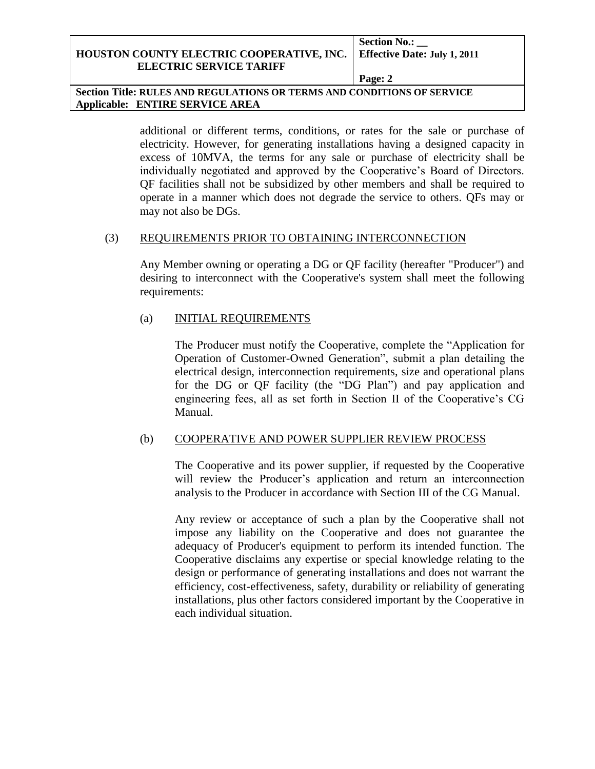**Section No.: \_\_**

**Page: 2**

**Section Title: RULES AND REGULATIONS OR TERMS AND CONDITIONS OF SERVICE Applicable: ENTIRE SERVICE AREA**

> additional or different terms, conditions, or rates for the sale or purchase of electricity. However, for generating installations having a designed capacity in excess of 10MVA, the terms for any sale or purchase of electricity shall be individually negotiated and approved by the Cooperative's Board of Directors. QF facilities shall not be subsidized by other members and shall be required to operate in a manner which does not degrade the service to others. QFs may or may not also be DGs.

#### (3) REQUIREMENTS PRIOR TO OBTAINING INTERCONNECTION

Any Member owning or operating a DG or QF facility (hereafter "Producer") and desiring to interconnect with the Cooperative's system shall meet the following requirements:

## (a) INITIAL REQUIREMENTS

The Producer must notify the Cooperative, complete the "Application for Operation of Customer-Owned Generation", submit a plan detailing the electrical design, interconnection requirements, size and operational plans for the DG or QF facility (the "DG Plan") and pay application and engineering fees, all as set forth in Section II of the Cooperative's CG Manual.

## (b) COOPERATIVE AND POWER SUPPLIER REVIEW PROCESS

The Cooperative and its power supplier, if requested by the Cooperative will review the Producer's application and return an interconnection analysis to the Producer in accordance with Section III of the CG Manual.

Any review or acceptance of such a plan by the Cooperative shall not impose any liability on the Cooperative and does not guarantee the adequacy of Producer's equipment to perform its intended function. The Cooperative disclaims any expertise or special knowledge relating to the design or performance of generating installations and does not warrant the efficiency, cost-effectiveness, safety, durability or reliability of generating installations, plus other factors considered important by the Cooperative in each individual situation.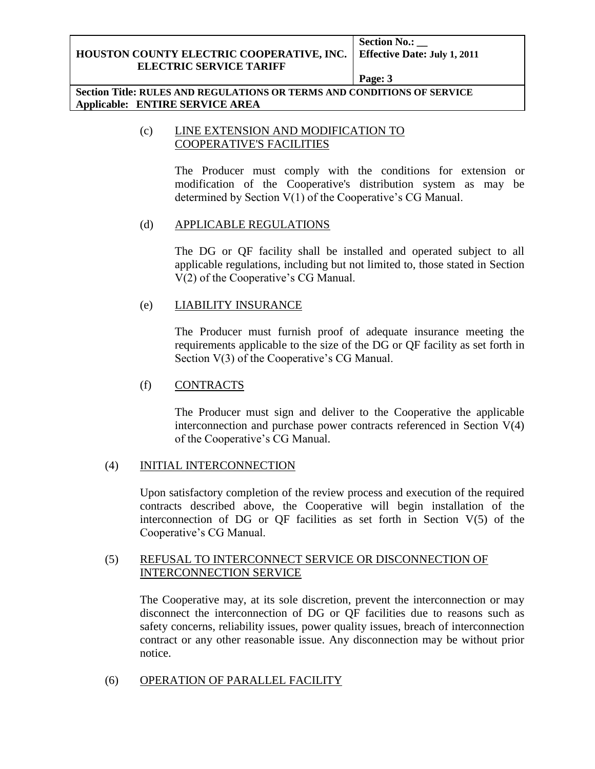**Section No.: \_\_**

**Page: 3**

**Section Title: RULES AND REGULATIONS OR TERMS AND CONDITIONS OF SERVICE Applicable: ENTIRE SERVICE AREA**

## (c) LINE EXTENSION AND MODIFICATION TO COOPERATIVE'S FACILITIES

The Producer must comply with the conditions for extension or modification of the Cooperative's distribution system as may be determined by Section V(1) of the Cooperative's CG Manual.

## (d) APPLICABLE REGULATIONS

The DG or QF facility shall be installed and operated subject to all applicable regulations, including but not limited to, those stated in Section V(2) of the Cooperative's CG Manual.

## (e) LIABILITY INSURANCE

The Producer must furnish proof of adequate insurance meeting the requirements applicable to the size of the DG or QF facility as set forth in Section  $V(3)$  of the Cooperative's CG Manual.

## (f) CONTRACTS

The Producer must sign and deliver to the Cooperative the applicable interconnection and purchase power contracts referenced in Section V(4) of the Cooperative's CG Manual.

## (4) INITIAL INTERCONNECTION

Upon satisfactory completion of the review process and execution of the required contracts described above, the Cooperative will begin installation of the interconnection of DG or QF facilities as set forth in Section V(5) of the Cooperative's CG Manual.

## (5) REFUSAL TO INTERCONNECT SERVICE OR DISCONNECTION OF INTERCONNECTION SERVICE

The Cooperative may, at its sole discretion, prevent the interconnection or may disconnect the interconnection of DG or QF facilities due to reasons such as safety concerns, reliability issues, power quality issues, breach of interconnection contract or any other reasonable issue. Any disconnection may be without prior notice.

## (6) OPERATION OF PARALLEL FACILITY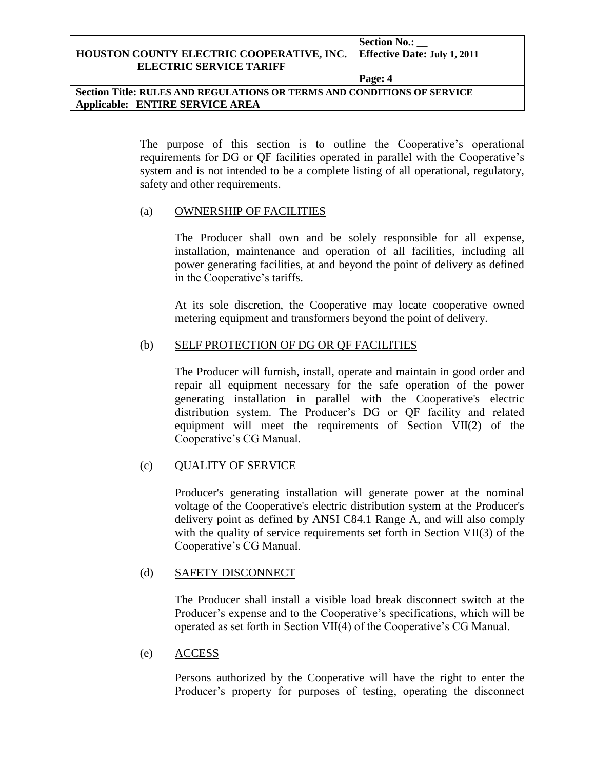**Section No.: \_\_**

**Page: 4**

**Section Title: RULES AND REGULATIONS OR TERMS AND CONDITIONS OF SERVICE Applicable: ENTIRE SERVICE AREA**

> The purpose of this section is to outline the Cooperative's operational requirements for DG or QF facilities operated in parallel with the Cooperative's system and is not intended to be a complete listing of all operational, regulatory, safety and other requirements.

#### (a) OWNERSHIP OF FACILITIES

The Producer shall own and be solely responsible for all expense, installation, maintenance and operation of all facilities, including all power generating facilities, at and beyond the point of delivery as defined in the Cooperative's tariffs.

At its sole discretion, the Cooperative may locate cooperative owned metering equipment and transformers beyond the point of delivery.

## (b) SELF PROTECTION OF DG OR QF FACILITIES

The Producer will furnish, install, operate and maintain in good order and repair all equipment necessary for the safe operation of the power generating installation in parallel with the Cooperative's electric distribution system. The Producer's DG or QF facility and related equipment will meet the requirements of Section VII(2) of the Cooperative's CG Manual.

## (c) QUALITY OF SERVICE

Producer's generating installation will generate power at the nominal voltage of the Cooperative's electric distribution system at the Producer's delivery point as defined by ANSI C84.1 Range A, and will also comply with the quality of service requirements set forth in Section VII(3) of the Cooperative's CG Manual.

## (d) SAFETY DISCONNECT

The Producer shall install a visible load break disconnect switch at the Producer's expense and to the Cooperative's specifications, which will be operated as set forth in Section VII(4) of the Cooperative's CG Manual.

## (e) ACCESS

Persons authorized by the Cooperative will have the right to enter the Producer's property for purposes of testing, operating the disconnect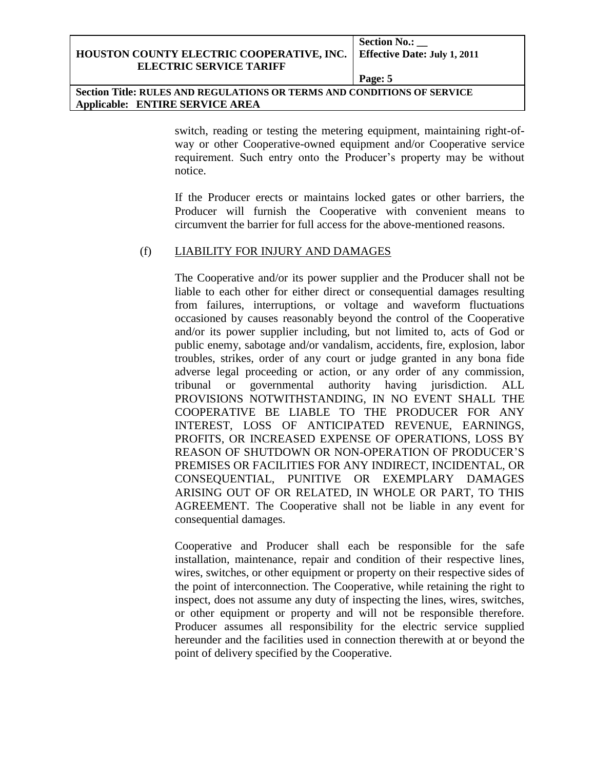**Section No.: \_\_**

**Page: 5**

**Section Title: RULES AND REGULATIONS OR TERMS AND CONDITIONS OF SERVICE Applicable: ENTIRE SERVICE AREA**

> switch, reading or testing the metering equipment, maintaining right-ofway or other Cooperative-owned equipment and/or Cooperative service requirement. Such entry onto the Producer's property may be without notice.

> If the Producer erects or maintains locked gates or other barriers, the Producer will furnish the Cooperative with convenient means to circumvent the barrier for full access for the above-mentioned reasons.

## (f) LIABILITY FOR INJURY AND DAMAGES

The Cooperative and/or its power supplier and the Producer shall not be liable to each other for either direct or consequential damages resulting from failures, interruptions, or voltage and waveform fluctuations occasioned by causes reasonably beyond the control of the Cooperative and/or its power supplier including, but not limited to, acts of God or public enemy, sabotage and/or vandalism, accidents, fire, explosion, labor troubles, strikes, order of any court or judge granted in any bona fide adverse legal proceeding or action, or any order of any commission, tribunal or governmental authority having jurisdiction. ALL PROVISIONS NOTWITHSTANDING, IN NO EVENT SHALL THE COOPERATIVE BE LIABLE TO THE PRODUCER FOR ANY INTEREST, LOSS OF ANTICIPATED REVENUE, EARNINGS, PROFITS, OR INCREASED EXPENSE OF OPERATIONS, LOSS BY REASON OF SHUTDOWN OR NON-OPERATION OF PRODUCER'S PREMISES OR FACILITIES FOR ANY INDIRECT, INCIDENTAL, OR CONSEQUENTIAL, PUNITIVE OR EXEMPLARY DAMAGES ARISING OUT OF OR RELATED, IN WHOLE OR PART, TO THIS AGREEMENT. The Cooperative shall not be liable in any event for consequential damages.

Cooperative and Producer shall each be responsible for the safe installation, maintenance, repair and condition of their respective lines, wires, switches, or other equipment or property on their respective sides of the point of interconnection. The Cooperative, while retaining the right to inspect, does not assume any duty of inspecting the lines, wires, switches, or other equipment or property and will not be responsible therefore. Producer assumes all responsibility for the electric service supplied hereunder and the facilities used in connection therewith at or beyond the point of delivery specified by the Cooperative.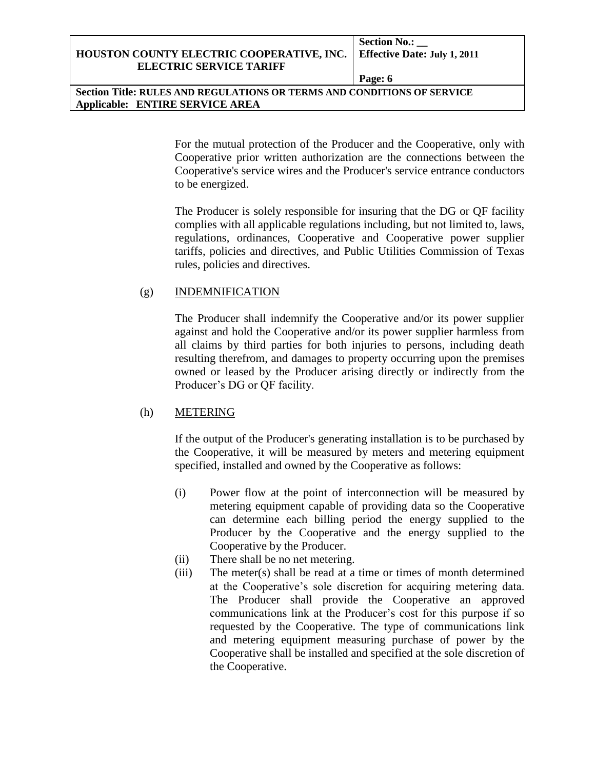**Section No.: \_\_**

**Page: 6**

**Section Title: RULES AND REGULATIONS OR TERMS AND CONDITIONS OF SERVICE Applicable: ENTIRE SERVICE AREA**

> For the mutual protection of the Producer and the Cooperative, only with Cooperative prior written authorization are the connections between the Cooperative's service wires and the Producer's service entrance conductors to be energized.

> The Producer is solely responsible for insuring that the DG or QF facility complies with all applicable regulations including, but not limited to, laws, regulations, ordinances, Cooperative and Cooperative power supplier tariffs, policies and directives, and Public Utilities Commission of Texas rules, policies and directives.

## (g) INDEMNIFICATION

The Producer shall indemnify the Cooperative and/or its power supplier against and hold the Cooperative and/or its power supplier harmless from all claims by third parties for both injuries to persons, including death resulting therefrom, and damages to property occurring upon the premises owned or leased by the Producer arising directly or indirectly from the Producer's DG or QF facility.

# (h) METERING

If the output of the Producer's generating installation is to be purchased by the Cooperative, it will be measured by meters and metering equipment specified, installed and owned by the Cooperative as follows:

- (i) Power flow at the point of interconnection will be measured by metering equipment capable of providing data so the Cooperative can determine each billing period the energy supplied to the Producer by the Cooperative and the energy supplied to the Cooperative by the Producer.
- (ii) There shall be no net metering.
- (iii) The meter(s) shall be read at a time or times of month determined at the Cooperative's sole discretion for acquiring metering data. The Producer shall provide the Cooperative an approved communications link at the Producer's cost for this purpose if so requested by the Cooperative. The type of communications link and metering equipment measuring purchase of power by the Cooperative shall be installed and specified at the sole discretion of the Cooperative.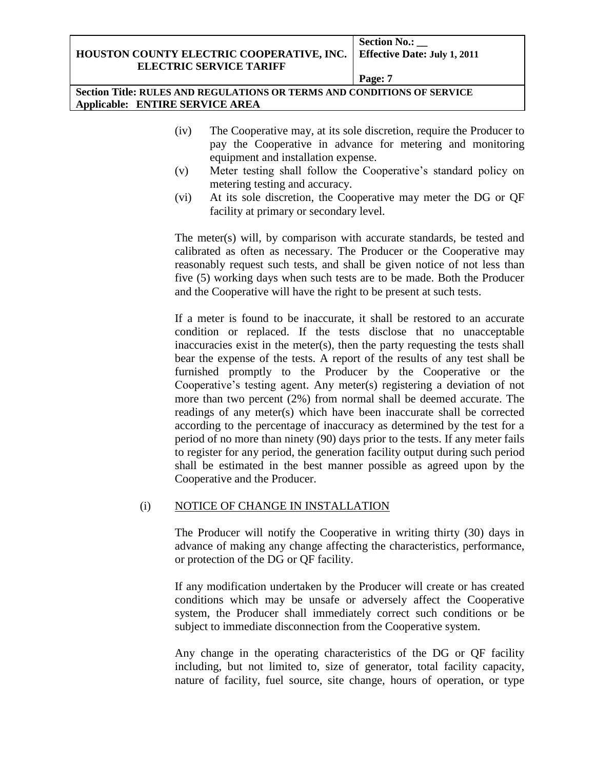**Section No.: \_\_**

**Page: 7**

**Section Title: RULES AND REGULATIONS OR TERMS AND CONDITIONS OF SERVICE Applicable: ENTIRE SERVICE AREA**

- (iv) The Cooperative may, at its sole discretion, require the Producer to pay the Cooperative in advance for metering and monitoring equipment and installation expense.
- (v) Meter testing shall follow the Cooperative's standard policy on metering testing and accuracy.
- (vi) At its sole discretion, the Cooperative may meter the DG or QF facility at primary or secondary level.

The meter(s) will, by comparison with accurate standards, be tested and calibrated as often as necessary. The Producer or the Cooperative may reasonably request such tests, and shall be given notice of not less than five (5) working days when such tests are to be made. Both the Producer and the Cooperative will have the right to be present at such tests.

If a meter is found to be inaccurate, it shall be restored to an accurate condition or replaced. If the tests disclose that no unacceptable inaccuracies exist in the meter(s), then the party requesting the tests shall bear the expense of the tests. A report of the results of any test shall be furnished promptly to the Producer by the Cooperative or the Cooperative's testing agent. Any meter(s) registering a deviation of not more than two percent (2%) from normal shall be deemed accurate. The readings of any meter(s) which have been inaccurate shall be corrected according to the percentage of inaccuracy as determined by the test for a period of no more than ninety (90) days prior to the tests. If any meter fails to register for any period, the generation facility output during such period shall be estimated in the best manner possible as agreed upon by the Cooperative and the Producer.

# (i) NOTICE OF CHANGE IN INSTALLATION

The Producer will notify the Cooperative in writing thirty (30) days in advance of making any change affecting the characteristics, performance, or protection of the DG or QF facility.

If any modification undertaken by the Producer will create or has created conditions which may be unsafe or adversely affect the Cooperative system, the Producer shall immediately correct such conditions or be subject to immediate disconnection from the Cooperative system.

Any change in the operating characteristics of the DG or QF facility including, but not limited to, size of generator, total facility capacity, nature of facility, fuel source, site change, hours of operation, or type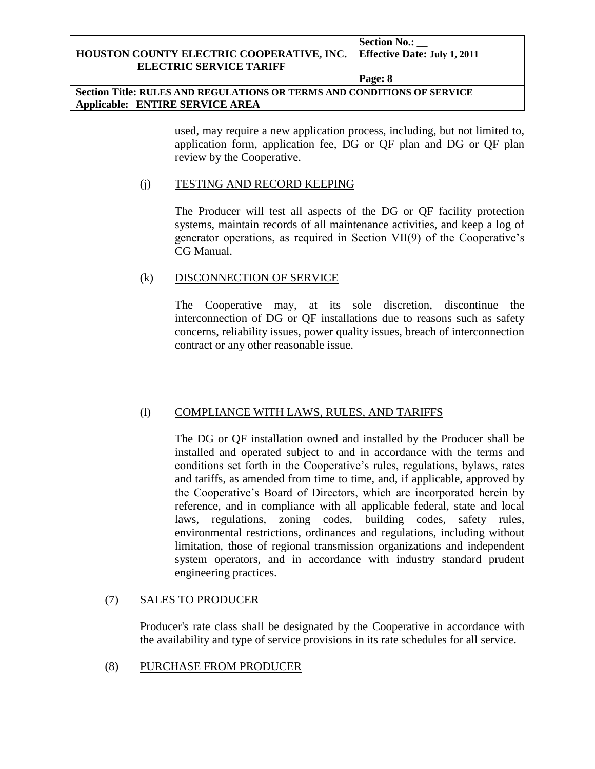**Section No.: \_\_**

**Page: 8**

**Section Title: RULES AND REGULATIONS OR TERMS AND CONDITIONS OF SERVICE Applicable: ENTIRE SERVICE AREA**

> used, may require a new application process, including, but not limited to, application form, application fee, DG or QF plan and DG or QF plan review by the Cooperative.

#### (j) TESTING AND RECORD KEEPING

The Producer will test all aspects of the DG or QF facility protection systems, maintain records of all maintenance activities, and keep a log of generator operations, as required in Section VII(9) of the Cooperative's CG Manual.

## (k) DISCONNECTION OF SERVICE

The Cooperative may, at its sole discretion, discontinue the interconnection of DG or QF installations due to reasons such as safety concerns, reliability issues, power quality issues, breach of interconnection contract or any other reasonable issue.

## (l) COMPLIANCE WITH LAWS, RULES, AND TARIFFS

The DG or QF installation owned and installed by the Producer shall be installed and operated subject to and in accordance with the terms and conditions set forth in the Cooperative's rules, regulations, bylaws, rates and tariffs, as amended from time to time, and, if applicable, approved by the Cooperative's Board of Directors, which are incorporated herein by reference, and in compliance with all applicable federal, state and local laws, regulations, zoning codes, building codes, safety rules, environmental restrictions, ordinances and regulations, including without limitation, those of regional transmission organizations and independent system operators, and in accordance with industry standard prudent engineering practices.

## (7) SALES TO PRODUCER

Producer's rate class shall be designated by the Cooperative in accordance with the availability and type of service provisions in its rate schedules for all service.

## (8) PURCHASE FROM PRODUCER